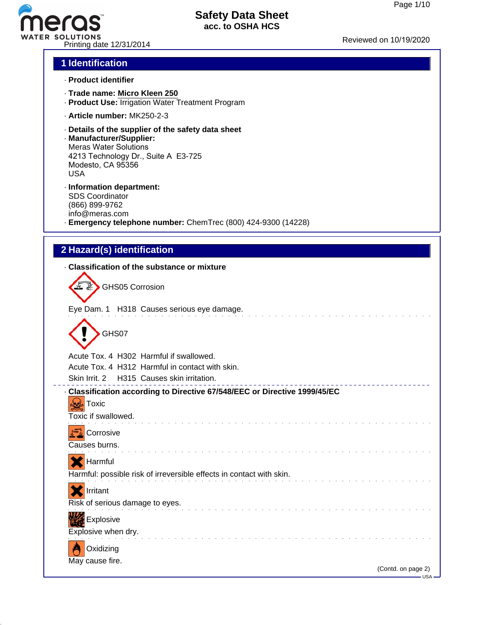# TER SOLUTIONS<br>Reviewed on 10/19/2020<br>Printing date 12/31/2014

# **Safety Data Sheet acc. to OSHA HCS**

# **1 Identification**

- · **Product identifier**
- · **Trade name: Micro Kleen 250**
- · **Product Use:** Irrigation Water Treatment Program
- · **Article number:** MK250-2-3
- · **Details of the supplier of the safety data sheet**
- · **Manufacturer/Supplier:** Meras Water Solutions 4213 Technology Dr., Suite A E3-725 Modesto, CA 95356 USA
- · **Information department:** SDS Coordinator (866) 899-9762 info@meras.com · **Emergency telephone number:** ChemTrec (800) 424-9300 (14228)

# **2 Hazard(s) identification**

### · **Classification of the substance or mixture**

| GHS05 Corrosion |                                            |
|-----------------|--------------------------------------------|
|                 | Eye Dam. 1 H318 Causes serious eye damage. |
|                 |                                            |

GHS07

⌒

Acute Tox. 4 H302 Harmful if swallowed.

Acute Tox. 4 H312 Harmful in contact with skin.

Skin Irrit. 2 H315 Causes skin irritation.

### · **Classification according to Directive 67/548/EEC or Directive 1999/45/EC**

**Toxic** Toxic if swallowed.



Causes burns.



Harmful: possible risk of irreversible effects in contact with skin.









May cause fire.

<u>. . . . . . . .</u>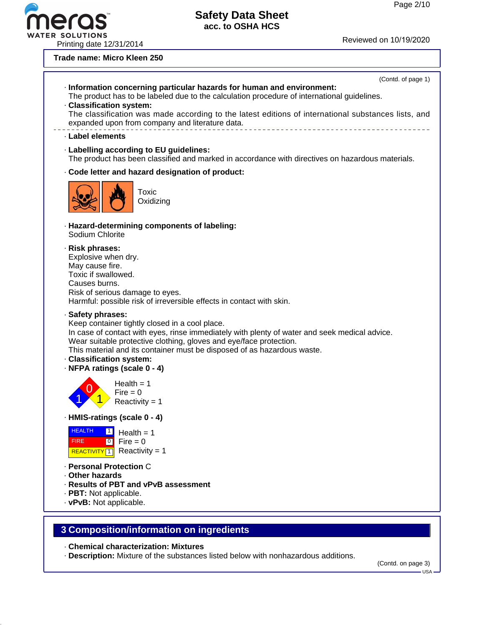R SOLUTIONS<br>Printing date 12/31/2014 Printing date 12/31/2014

### **Trade name: Micro Kleen 250**



### · **Chemical characterization: Mixtures**

· **Description:** Mixture of the substances listed below with nonhazardous additions.

(Contd. on page 3)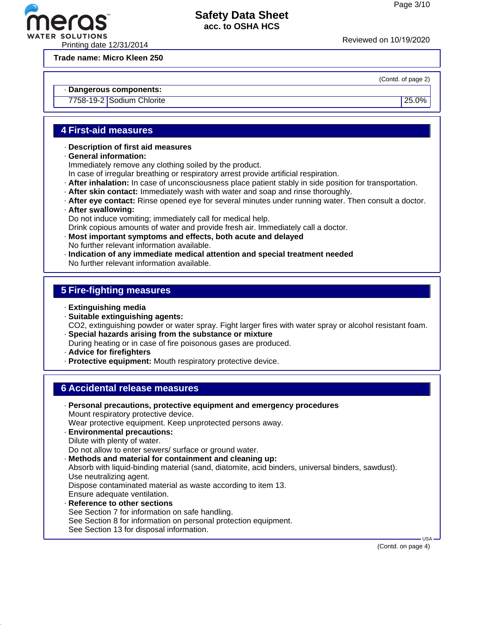

**Trade name: Micro Kleen 250**

### (Contd. of page 2)

### · **Dangerous components:**

7758-19-2 Sodium Chlorite 25.0%

# **4 First-aid measures**

- · **Description of first aid measures**
- · **General information:**
- Immediately remove any clothing soiled by the product.
- In case of irregular breathing or respiratory arrest provide artificial respiration.
- · **After inhalation:** In case of unconsciousness place patient stably in side position for transportation.
- · **After skin contact:** Immediately wash with water and soap and rinse thoroughly.
- · **After eye contact:** Rinse opened eye for several minutes under running water. Then consult a doctor.

### · **After swallowing:**

Do not induce vomiting; immediately call for medical help.

Drink copious amounts of water and provide fresh air. Immediately call a doctor.

- · **Most important symptoms and effects, both acute and delayed** No further relevant information available.
- · **Indication of any immediate medical attention and special treatment needed** No further relevant information available.

### **5 Fire-fighting measures**

- · **Extinguishing media**
- · **Suitable extinguishing agents:**
- CO2, extinguishing powder or water spray. Fight larger fires with water spray or alcohol resistant foam. · **Special hazards arising from the substance or mixture**
- During heating or in case of fire poisonous gases are produced.
- · **Advice for firefighters**
- · **Protective equipment:** Mouth respiratory protective device.

### **6 Accidental release measures**

- · **Personal precautions, protective equipment and emergency procedures** Mount respiratory protective device. Wear protective equipment. Keep unprotected persons away. · **Environmental precautions:** Dilute with plenty of water. Do not allow to enter sewers/ surface or ground water. · **Methods and material for containment and cleaning up:** Absorb with liquid-binding material (sand, diatomite, acid binders, universal binders, sawdust). Use neutralizing agent. Dispose contaminated material as waste according to item 13. Ensure adequate ventilation. · **Reference to other sections** See Section 7 for information on safe handling.
	- See Section 8 for information on personal protection equipment.
- See Section 13 for disposal information.

(Contd. on page 4)

USA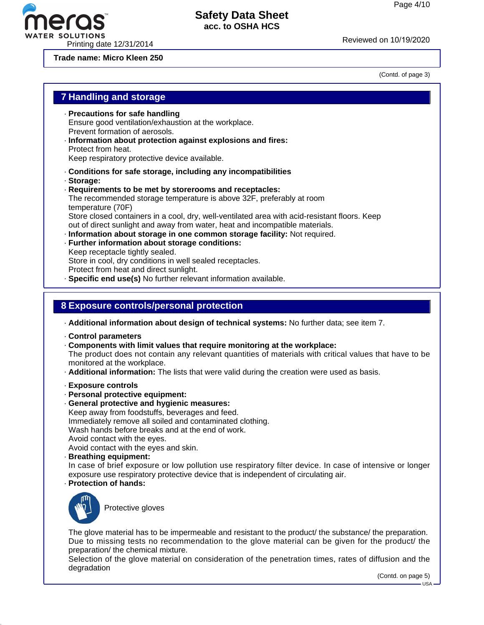

WATER SOLUTIONS<br>Printing date 12/31/2014 Printing date 12/31/2014

**Trade name: Micro Kleen 250**

era

(Contd. of page 3)

| <b>7 Handling and storage</b>                                                                                                                                                                                                                                                                                                                                                                                                                                                                                                                                                                                                                                                                                                                                   |
|-----------------------------------------------------------------------------------------------------------------------------------------------------------------------------------------------------------------------------------------------------------------------------------------------------------------------------------------------------------------------------------------------------------------------------------------------------------------------------------------------------------------------------------------------------------------------------------------------------------------------------------------------------------------------------------------------------------------------------------------------------------------|
| · Precautions for safe handling<br>Ensure good ventilation/exhaustion at the workplace.<br>Prevent formation of aerosols.<br>· Information about protection against explosions and fires:<br>Protect from heat.<br>Keep respiratory protective device available.                                                                                                                                                                                                                                                                                                                                                                                                                                                                                                |
| Conditions for safe storage, including any incompatibilities<br>· Storage:<br>Requirements to be met by storerooms and receptacles:<br>The recommended storage temperature is above 32F, preferably at room<br>temperature (70F)<br>Store closed containers in a cool, dry, well-ventilated area with acid-resistant floors. Keep<br>out of direct sunlight and away from water, heat and incompatible materials.<br>· Information about storage in one common storage facility: Not required.<br>· Further information about storage conditions:<br>Keep receptacle tightly sealed.<br>Store in cool, dry conditions in well sealed receptacles.<br>Protect from heat and direct sunlight.<br>· Specific end use(s) No further relevant information available. |
| 8 Exposure controls/personal protection                                                                                                                                                                                                                                                                                                                                                                                                                                                                                                                                                                                                                                                                                                                         |
| - Additional information about design of technical systems: No further data; see item 7.<br>Control parameters<br>Components with limit values that require monitoring at the workplace:<br>The product does not contain any relevant quantities of materials with critical values that have to be<br>monitored at the workplace.<br>. Additional information: The lists that were valid during the creation were used as basis.                                                                                                                                                                                                                                                                                                                                |
| · Exposure controls<br>- Personal protective equipment:<br>· General protective and hygienic measures:<br>Keep away from foodstuffs, beverages and feed.<br>Immediately remove all soiled and contaminated clothing.<br>Wash hands before breaks and at the end of work.<br>Avoid contact with the eyes.<br>Avoid contact with the eyes and skin.<br>· Breathing equipment:<br>In case of brief exposure or low pollution use respiratory filter device. In case of intensive or longer<br>exposure use respiratory protective device that is independent of circulating air.<br>· Protection of hands:                                                                                                                                                         |
| Protective gloves                                                                                                                                                                                                                                                                                                                                                                                                                                                                                                                                                                                                                                                                                                                                               |
| The glove material has to be impermeable and resistant to the product/ the substance/ the preparation.<br>Due to missing tests no recommendation to the glove material can be given for the product/ the<br>preparation/ the chemical mixture.<br>Selection of the glove material on consideration of the penetration times, rates of diffusion and the<br>degradation<br>(Contd. on page 5)                                                                                                                                                                                                                                                                                                                                                                    |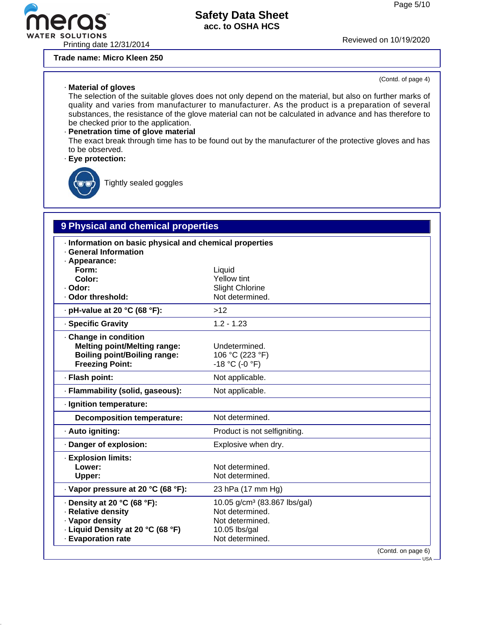

Printing date 12/31/2014 Reviewed on 10/19/2020

**Trade name: Micro Kleen 250**

### · **Material of gloves**

(Contd. of page 4)

The selection of the suitable gloves does not only depend on the material, but also on further marks of quality and varies from manufacturer to manufacturer. As the product is a preparation of several substances, the resistance of the glove material can not be calculated in advance and has therefore to be checked prior to the application.

# · **Penetration time of glove material**

The exact break through time has to be found out by the manufacturer of the protective gloves and has to be observed.

### · **Eye protection:**



Tightly sealed goggles

# **9 Physical and chemical properties**

| Information on basic physical and chemical properties<br>· General Information<br>· Appearance:<br>Form:                        | Liquid                                                                                                             |
|---------------------------------------------------------------------------------------------------------------------------------|--------------------------------------------------------------------------------------------------------------------|
| Color:                                                                                                                          | <b>Yellow tint</b>                                                                                                 |
| · Odor:                                                                                                                         | <b>Slight Chlorine</b>                                                                                             |
| . Odor threshold:                                                                                                               | Not determined.                                                                                                    |
| $\cdot$ pH-value at 20 °C (68 °F):                                                                                              | $>12$                                                                                                              |
| · Specific Gravity                                                                                                              | $1.2 - 1.23$                                                                                                       |
| Change in condition<br><b>Melting point/Melting range:</b><br><b>Boiling point/Boiling range:</b><br><b>Freezing Point:</b>     | Undetermined.<br>106 °C (223 °F)<br>$-18 °C (-0 °F)$                                                               |
| · Flash point:                                                                                                                  | Not applicable.                                                                                                    |
| · Flammability (solid, gaseous):                                                                                                | Not applicable.                                                                                                    |
| · Ignition temperature:                                                                                                         |                                                                                                                    |
| <b>Decomposition temperature:</b>                                                                                               | Not determined.                                                                                                    |
| · Auto igniting:                                                                                                                | Product is not selfigniting.                                                                                       |
| Danger of explosion:                                                                                                            | Explosive when dry.                                                                                                |
| · Explosion limits:<br>Lower:<br>Upper:                                                                                         | Not determined.<br>Not determined.                                                                                 |
| · Vapor pressure at 20 °C (68 °F):                                                                                              | 23 hPa (17 mm Hg)                                                                                                  |
| · Density at 20 °C (68 °F):<br>· Relative density<br>· Vapor density<br>- Liquid Density at 20 °C (68 °F)<br>· Evaporation rate | 10.05 g/cm <sup>3</sup> (83.867 lbs/gal)<br>Not determined.<br>Not determined.<br>10.05 lbs/gal<br>Not determined. |
|                                                                                                                                 | (Contd. on page 6)                                                                                                 |

USA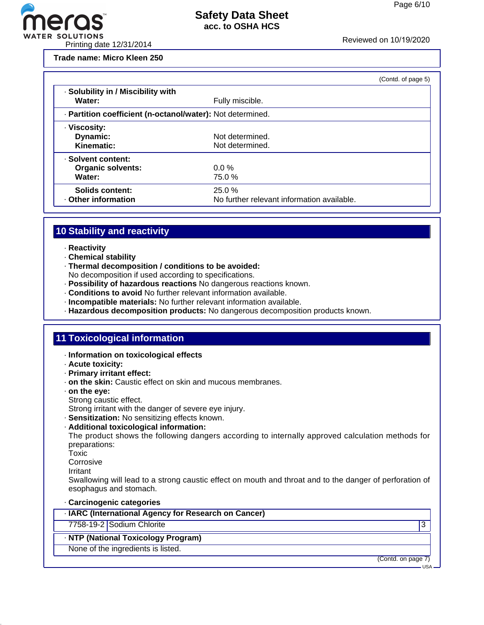

TER SOLUTIONS<br>Printing date 12/31/2014 Printing date 12/31/2014

**Trade name: Micro Kleen 250**

|                                                            |                                            | (Contd. of page 5) |
|------------------------------------------------------------|--------------------------------------------|--------------------|
| · Solubility in / Miscibility with<br>Water:               | Fully miscible.                            |                    |
| - Partition coefficient (n-octanol/water): Not determined. |                                            |                    |
| · Viscosity:                                               | Not determined.                            |                    |
| Dynamic:<br>Kinematic:                                     | Not determined.                            |                    |
| · Solvent content:                                         |                                            |                    |
| <b>Organic solvents:</b>                                   | $0.0 \%$                                   |                    |
| Water:                                                     | 75.0%                                      |                    |
| Solids content:                                            | 25.0%                                      |                    |
| Other information                                          | No further relevant information available. |                    |

# **10 Stability and reactivity**

- · **Reactivity**
- · **Chemical stability**
- · **Thermal decomposition / conditions to be avoided:**
- No decomposition if used according to specifications.
- · **Possibility of hazardous reactions** No dangerous reactions known.
- · **Conditions to avoid** No further relevant information available.
- · **Incompatible materials:** No further relevant information available.
- · **Hazardous decomposition products:** No dangerous decomposition products known.

### **11 Toxicological information**

- · **Information on toxicological effects**
- · **Acute toxicity:**
- · **Primary irritant effect:**
- · **on the skin:** Caustic effect on skin and mucous membranes.
- · **on the eye:** Strong caustic effect.
	- Strong irritant with the danger of severe eye injury.
- · **Sensitization:** No sensitizing effects known.
- · **Additional toxicological information:**

The product shows the following dangers according to internally approved calculation methods for preparations:

- Toxic
- **Corrosive**
- Irritant

Swallowing will lead to a strong caustic effect on mouth and throat and to the danger of perforation of esophagus and stomach.

### · **Carcinogenic categories**

| · IARC (International Agency for Research on Cancer) |  |  |  |
|------------------------------------------------------|--|--|--|
|------------------------------------------------------|--|--|--|

7758-19-2 Sodium Chlorite 3

### · **NTP (National Toxicology Program)**

None of the ingredients is listed.

(Contd. on page 7)

USA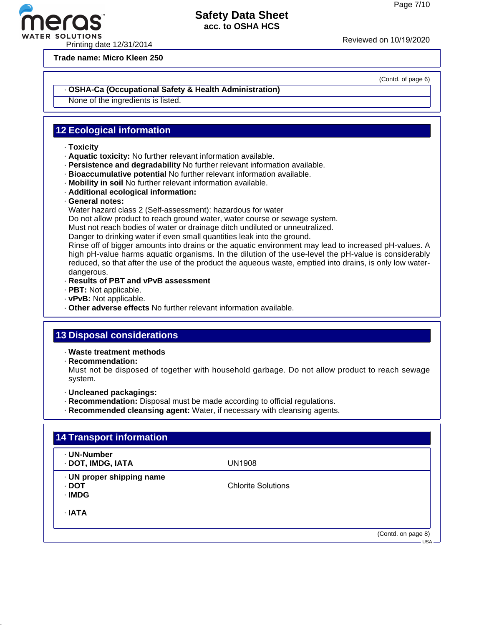Printing date 12/31/2014<br>Printing date 12/31/2014

**Trade name: Micro Kleen 250**

(Contd. of page 6)

### · **OSHA-Ca (Occupational Safety & Health Administration)**

None of the ingredients is listed.

## **12 Ecological information**

- · **Toxicity**
- · **Aquatic toxicity:** No further relevant information available.
- · **Persistence and degradability** No further relevant information available.
- · **Bioaccumulative potential** No further relevant information available.
- · **Mobility in soil** No further relevant information available.
- · **Additional ecological information:**
- · **General notes:**

Water hazard class 2 (Self-assessment): hazardous for water

Do not allow product to reach ground water, water course or sewage system.

Must not reach bodies of water or drainage ditch undiluted or unneutralized.

Danger to drinking water if even small quantities leak into the ground.

Rinse off of bigger amounts into drains or the aquatic environment may lead to increased pH-values. A high pH-value harms aquatic organisms. In the dilution of the use-level the pH-value is considerably reduced, so that after the use of the product the aqueous waste, emptied into drains, is only low waterdangerous.

- · **Results of PBT and vPvB assessment**
- · **PBT:** Not applicable.
- · **vPvB:** Not applicable.
- · **Other adverse effects** No further relevant information available.

### **13 Disposal considerations**

- · **Waste treatment methods**
- · **Recommendation:**

Must not be disposed of together with household garbage. Do not allow product to reach sewage system.

- · **Uncleaned packagings:**
- · **Recommendation:** Disposal must be made according to official regulations.
- · **Recommended cleansing agent:** Water, if necessary with cleansing agents.

| · UN-Number<br>· DOT, IMDG, IATA             | <b>UN1908</b>             |  |
|----------------------------------------------|---------------------------|--|
| · UN proper shipping name<br>· DOT<br>· IMDG | <b>Chlorite Solutions</b> |  |
| $\cdot$ IATA                                 |                           |  |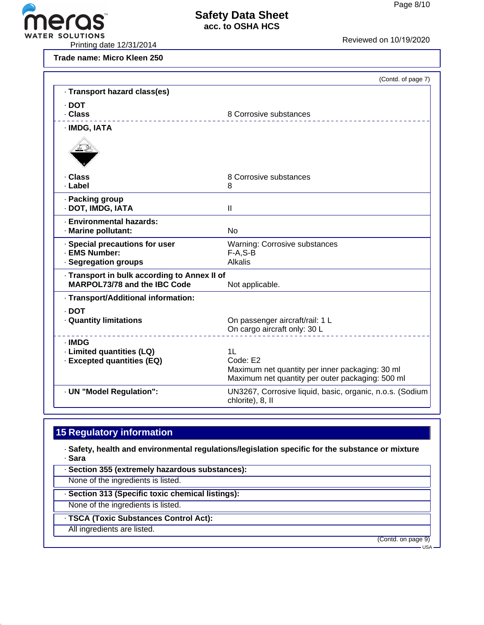

**Trade name: Micro Kleen 250**

| Reviewed on TU/T9/ZUZU |  |  |  |
|------------------------|--|--|--|
|                        |  |  |  |

|                                                                              | (Contd. of page 7)                                                                                  |
|------------------------------------------------------------------------------|-----------------------------------------------------------------------------------------------------|
| · Transport hazard class(es)                                                 |                                                                                                     |
| $\cdot$ DOT                                                                  |                                                                                                     |
| . Class                                                                      | 8 Corrosive substances                                                                              |
| · IMDG, IATA                                                                 |                                                                                                     |
|                                                                              |                                                                                                     |
| · Class                                                                      | 8 Corrosive substances                                                                              |
| · Label                                                                      | 8                                                                                                   |
| · Packing group                                                              |                                                                                                     |
| · DOT, IMDG, IATA                                                            | Ш                                                                                                   |
| <b>Environmental hazards:</b>                                                |                                                                                                     |
| · Marine pollutant:                                                          | <b>No</b>                                                                                           |
|                                                                              |                                                                                                     |
| · Special precautions for user<br>· EMS Number:                              | Warning: Corrosive substances<br>$F-A, S-B$                                                         |
| · Segregation groups                                                         | Alkalis                                                                                             |
|                                                                              |                                                                                                     |
| - Transport in bulk according to Annex II of<br>MARPOL73/78 and the IBC Code | Not applicable.                                                                                     |
|                                                                              |                                                                                                     |
| · Transport/Additional information:                                          |                                                                                                     |
| . DOT                                                                        |                                                                                                     |
| · Quantity limitations                                                       | On passenger aircraft/rail: 1 L                                                                     |
|                                                                              | On cargo aircraft only: 30 L                                                                        |
| · IMDG                                                                       |                                                                                                     |
| · Limited quantities (LQ)                                                    | 11                                                                                                  |
| · Excepted quantities (EQ)                                                   | Code: E2                                                                                            |
|                                                                              | Maximum net quantity per inner packaging: 30 ml<br>Maximum net quantity per outer packaging: 500 ml |
|                                                                              |                                                                                                     |
| · UN "Model Regulation":                                                     | UN3267, Corrosive liquid, basic, organic, n.o.s. (Sodium<br>chlorite), 8, II                        |
|                                                                              |                                                                                                     |

# **15 Regulatory information**

· **Safety, health and environmental regulations/legislation specific for the substance or mixture** · **Sara**

· **Section 355 (extremely hazardous substances):**

None of the ingredients is listed.

· **Section 313 (Specific toxic chemical listings):**

None of the ingredients is listed.

· **TSCA (Toxic Substances Control Act):**

All ingredients are listed.

(Contd. on page 9)

- USA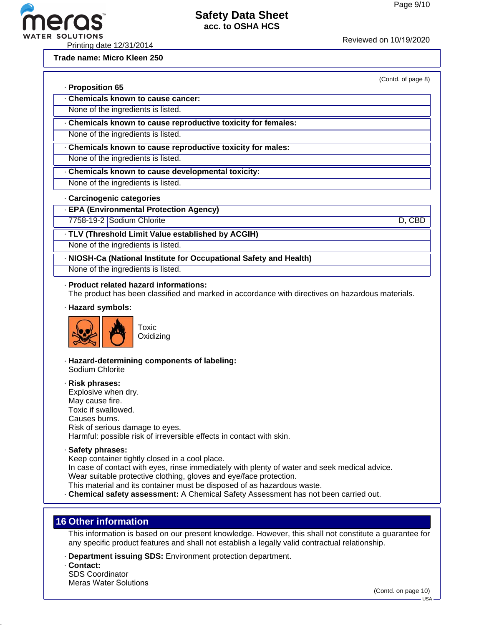(Contd. of page 8)



ER SOLUTIONS<br>Printing date 12/31/2014 Reviewed on 10/19/2020

**Trade name: Micro Kleen 250**

· **Proposition 65**

- · **Chemicals known to cause cancer:**
- None of the ingredients is listed.
- · **Chemicals known to cause reproductive toxicity for females:**
- None of the ingredients is listed.
- · **Chemicals known to cause reproductive toxicity for males:**
- None of the ingredients is listed.
- · **Chemicals known to cause developmental toxicity:**
- None of the ingredients is listed.

### · **Carcinogenic categories**

- · **EPA (Environmental Protection Agency)**
- 7758-19-2 Sodium Chlorite D, CBD

## · **TLV (Threshold Limit Value established by ACGIH)**

- None of the ingredients is listed.
- · **NIOSH-Ca (National Institute for Occupational Safety and Health)**
- None of the ingredients is listed.

### · **Product related hazard informations:**

The product has been classified and marked in accordance with directives on hazardous materials.

· **Hazard symbols:**



- 
- · **Hazard-determining components of labeling:** Sodium Chlorite
- · **Risk phrases:** Explosive when dry. May cause fire. Toxic if swallowed. Causes burns. Risk of serious damage to eyes. Harmful: possible risk of irreversible effects in contact with skin.
- · **Safety phrases:**

Keep container tightly closed in a cool place.

In case of contact with eyes, rinse immediately with plenty of water and seek medical advice.

Wear suitable protective clothing, gloves and eye/face protection.

This material and its container must be disposed of as hazardous waste.

· **Chemical safety assessment:** A Chemical Safety Assessment has not been carried out.

# **16 Other information**

This information is based on our present knowledge. However, this shall not constitute a guarantee for any specific product features and shall not establish a legally valid contractual relationship.

- · **Department issuing SDS:** Environment protection department.
- · **Contact:**

SDS Coordinator Meras Water Solutions

(Contd. on page 10)